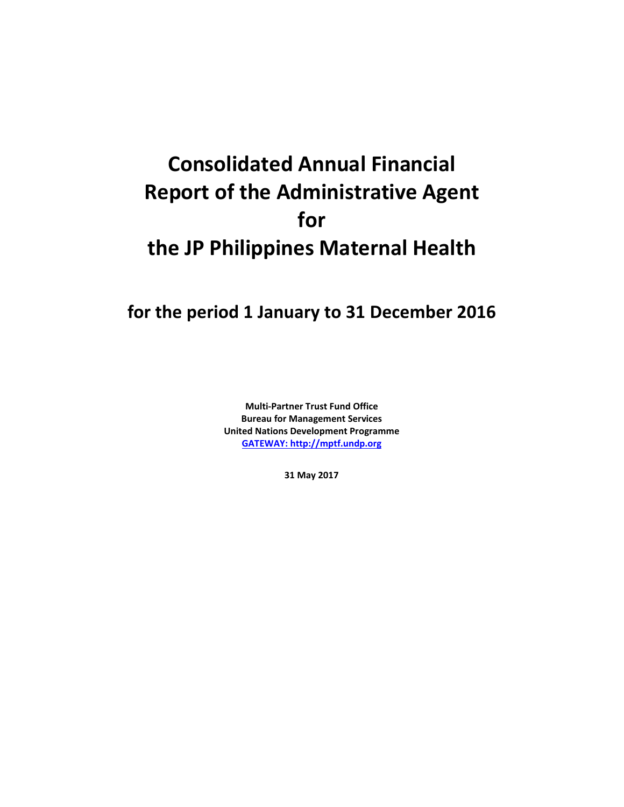# **Consolidated Annual Financial Report of the Administrative Agent for the JP Philippines Maternal Health**

## **for the period 1 January to 31 December 2016**

**Multi-Partner Trust Fund Office Bureau for Management Services United Nations Development Programme [GATEWAY: http://mptf.undp.org](http://mptf.undp.org/)**

**31 May 2017**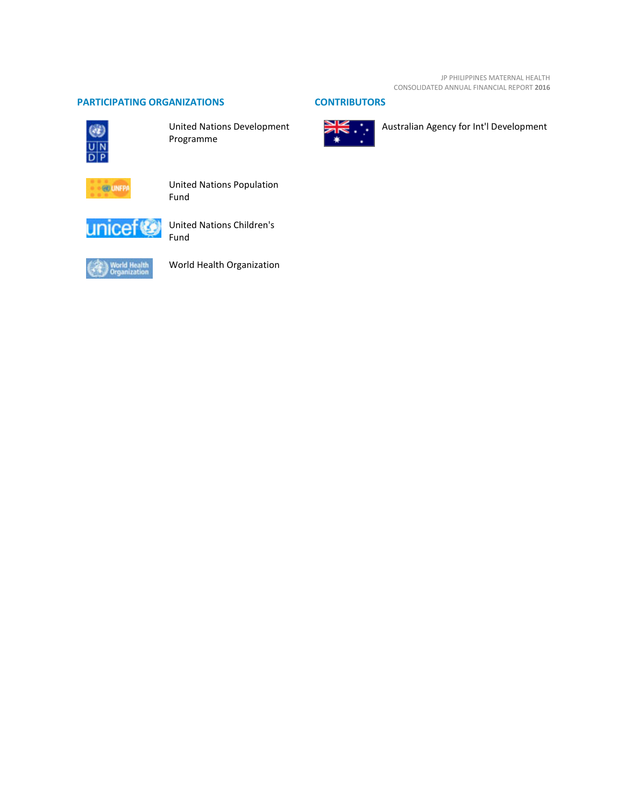#### **PARTICIPATING ORGANIZATIONS CONTRIBUTORS**



United Nations Development Programme



United Nations Population Fund



United Nations Children's Fund



World Health Organization



Australian Agency for Int'l Development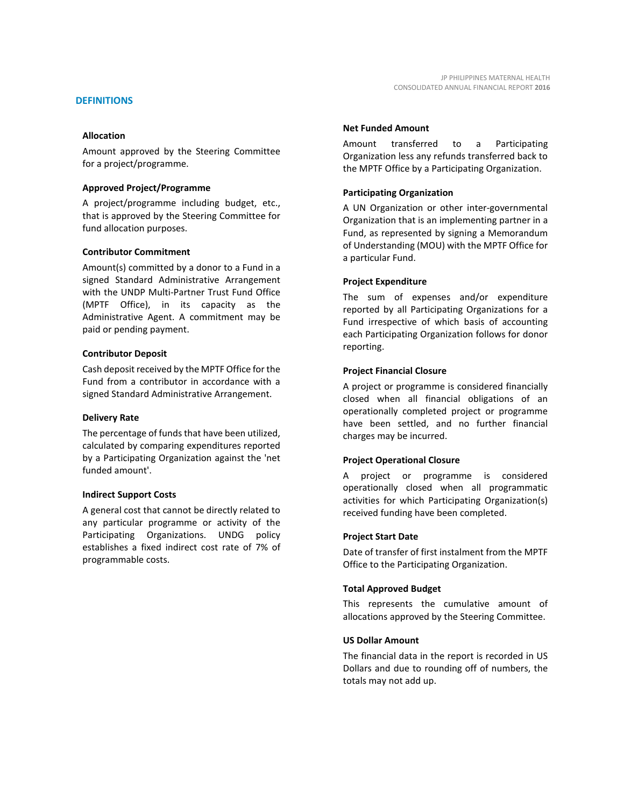Amount approved by the Steering Committee for a project/programme.

#### **Approved Project/Programme**

A project/programme including budget, etc., that is approved by the Steering Committee for fund allocation purposes.

#### **Contributor Commitment**

Amount(s) committed by a donor to a Fund in a signed Standard Administrative Arrangement with the UNDP Multi-Partner Trust Fund Office (MPTF Office), in its capacity as the Administrative Agent. A commitment may be paid or pending payment.

#### **Contributor Deposit**

Cash deposit received by the MPTF Office for the Fund from a contributor in accordance with a signed Standard Administrative Arrangement.

#### **Delivery Rate**

The percentage of funds that have been utilized, calculated by comparing expenditures reported by a Participating Organization against the 'net funded amount'.

#### **Indirect Support Costs**

A general cost that cannot be directly related to any particular programme or activity of the Participating Organizations. UNDG policy establishes a fixed indirect cost rate of 7% of programmable costs.

#### **Net Funded Amount**

Amount transferred to a Participating Organization less any refunds transferred back to the MPTF Office by a Participating Organization.

#### **Participating Organization**

A UN Organization or other inter-governmental Organization that is an implementing partner in a Fund, as represented by signing a Memorandum of Understanding (MOU) with the MPTF Office for a particular Fund.

#### **Project Expenditure**

The sum of expenses and/or expenditure reported by all Participating Organizations for a Fund irrespective of which basis of accounting each Participating Organization follows for donor reporting.

#### **Project Financial Closure**

A project or programme is considered financially closed when all financial obligations of an operationally completed project or programme have been settled, and no further financial charges may be incurred.

#### **Project Operational Closure**

A project or programme is considered operationally closed when all programmatic activities for which Participating Organization(s) received funding have been completed.

#### **Project Start Date**

Date of transfer of first instalment from the MPTF Office to the Participating Organization.

#### **Total Approved Budget**

This represents the cumulative amount of allocations approved by the Steering Committee.

#### **US Dollar Amount**

The financial data in the report is recorded in US Dollars and due to rounding off of numbers, the totals may not add up.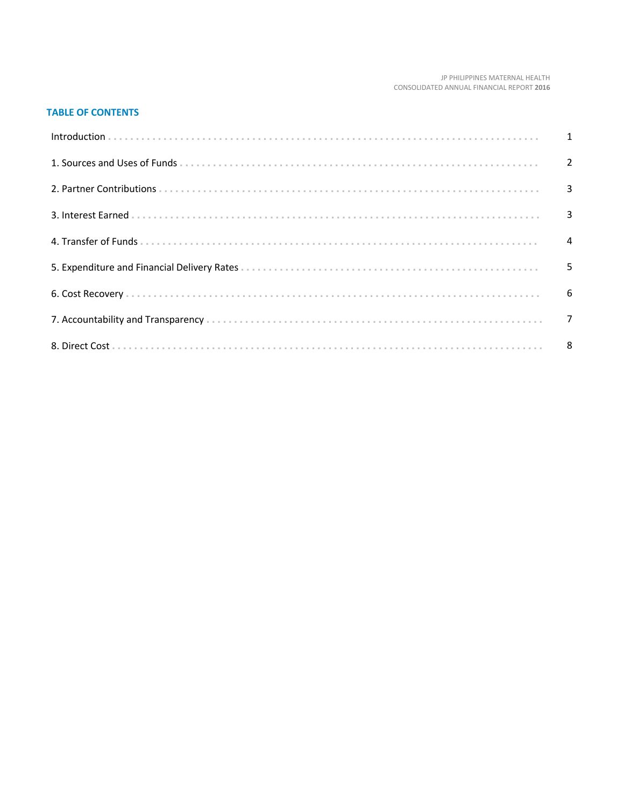#### JP PHILIPPINES MATERNAL HEALTH CONSOLIDATED ANNUAL FINANCIAL REPORT 2016

#### **TABLE OF CONTENTS**

| Introduction 1 1 |   |
|------------------|---|
|                  |   |
|                  |   |
|                  |   |
|                  |   |
|                  | 5 |
|                  |   |
|                  |   |
|                  |   |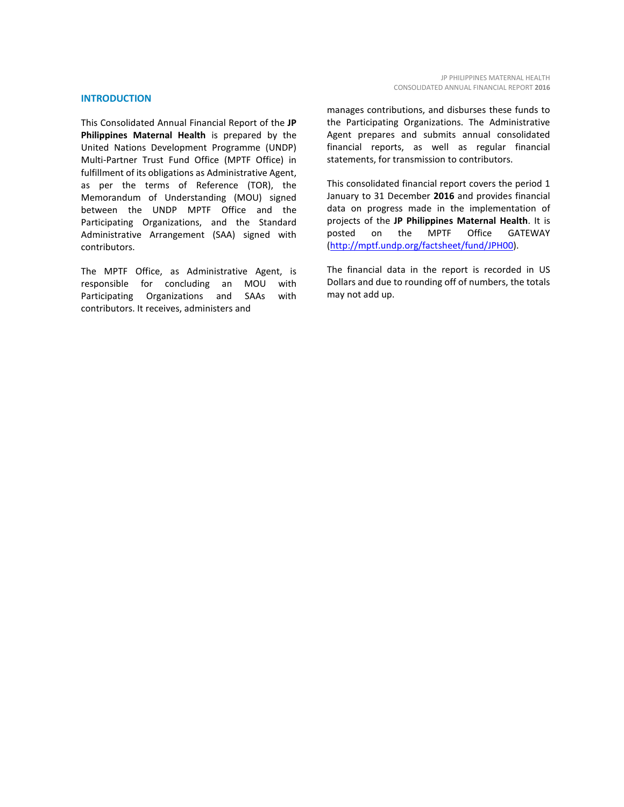#### **INTRODUCTION**

This Consolidated Annual Financial Report of the **JP Philippines Maternal Health** is prepared by the United Nations Development Programme (UNDP) Multi-Partner Trust Fund Office (MPTF Office) in fulfillment of its obligations as Administrative Agent, as per the terms of Reference (TOR), the Memorandum of Understanding (MOU) signed between the UNDP MPTF Office and the Participating Organizations, and the Standard Administrative Arrangement (SAA) signed with contributors.

The MPTF Office, as Administrative Agent, is responsible for concluding an MOU with Participating Organizations and SAAs with contributors. It receives, administers and

manages contributions, and disburses these funds to the Participating Organizations. The Administrative Agent prepares and submits annual consolidated financial reports, as well as regular financial statements, for transmission to contributors.

This consolidated financial report covers the period 1 January to 31 December **2016** and provides financial data on progress made in the implementation of projects of the **JP Philippines Maternal Health**. It is posted on the MPTF Office GATEWAY [\(http://mptf.undp.org/factsheet/fund/JPH00\)](http://mptf.undp.org/factsheet/fund/JPH00).

The financial data in the report is recorded in US Dollars and due to rounding off of numbers, the totals may not add up.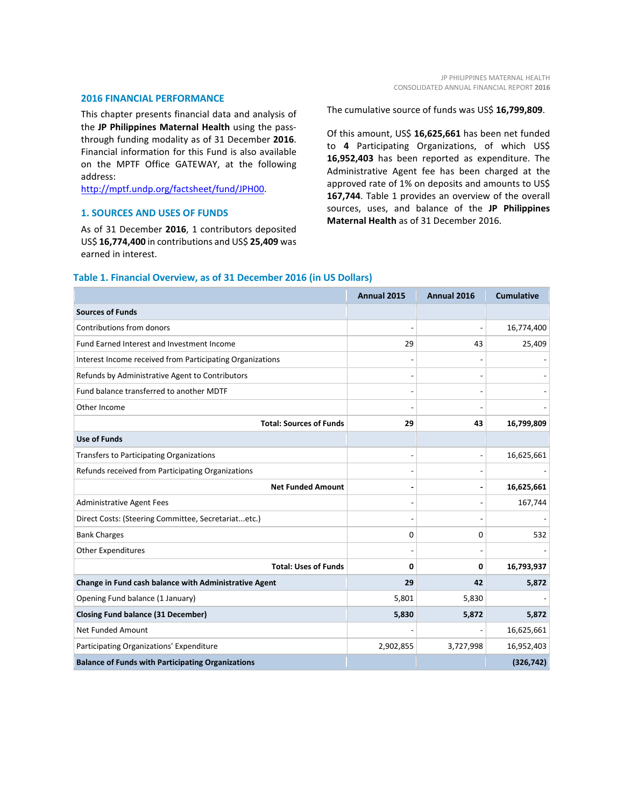#### **2016 FINANCIAL PERFORMANCE**

This chapter presents financial data and analysis of the **JP Philippines Maternal Health** using the passthrough funding modality as of 31 December **2016**. Financial information for this Fund is also available on the MPTF Office GATEWAY, at the following address:

[http://mptf.undp.org/factsheet/fund/JPH00.](http://mptf.undp.org/factsheet/fund/JPH00) 

#### **1. SOURCES AND USES OF FUNDS**

As of 31 December **2016**, 1 contributors deposited US\$ **16,774,400** in contributions and US\$ **25,409** was earned in interest.

The cumulative source of funds was US\$ **16,799,809**.

Of this amount, US\$ **16,625,661** has been net funded to **4** Participating Organizations, of which US\$ **16,952,403** has been reported as expenditure. The Administrative Agent fee has been charged at the approved rate of 1% on deposits and amounts to US\$ **167,744**. Table 1 provides an overview of the overall sources, uses, and balance of the **JP Philippines Maternal Health** as of 31 December 2016.

|                                                           | Annual 2015 | Annual 2016 | <b>Cumulative</b> |
|-----------------------------------------------------------|-------------|-------------|-------------------|
| <b>Sources of Funds</b>                                   |             |             |                   |
| Contributions from donors                                 |             |             | 16,774,400        |
| Fund Earned Interest and Investment Income                | 29          | 43          | 25,409            |
| Interest Income received from Participating Organizations |             |             |                   |
| Refunds by Administrative Agent to Contributors           |             |             |                   |
| Fund balance transferred to another MDTF                  |             |             |                   |
| Other Income                                              |             |             |                   |
| <b>Total: Sources of Funds</b>                            | 29          | 43          | 16,799,809        |
| <b>Use of Funds</b>                                       |             |             |                   |
| Transfers to Participating Organizations                  |             |             | 16,625,661        |
| Refunds received from Participating Organizations         |             |             |                   |
| <b>Net Funded Amount</b>                                  |             |             | 16,625,661        |
| <b>Administrative Agent Fees</b>                          |             |             | 167,744           |
| Direct Costs: (Steering Committee, Secretariatetc.)       |             |             |                   |
| <b>Bank Charges</b>                                       | $\Omega$    | 0           | 532               |
| <b>Other Expenditures</b>                                 |             |             |                   |
| <b>Total: Uses of Funds</b>                               | $\Omega$    | 0           | 16,793,937        |
| Change in Fund cash balance with Administrative Agent     | 29          | 42          | 5,872             |
| Opening Fund balance (1 January)                          | 5,801       | 5,830       |                   |
| <b>Closing Fund balance (31 December)</b>                 | 5,830       | 5,872       | 5,872             |
| <b>Net Funded Amount</b>                                  |             |             | 16,625,661        |
| Participating Organizations' Expenditure                  | 2,902,855   | 3,727,998   | 16,952,403        |
| <b>Balance of Funds with Participating Organizations</b>  |             |             | (326, 742)        |

#### **Table 1. Financial Overview, as of 31 December 2016 (in US Dollars)**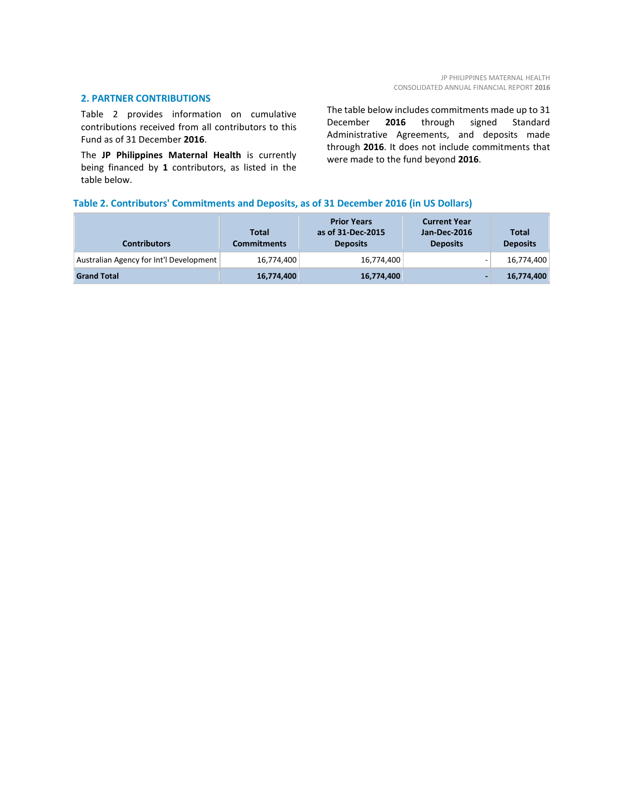#### **2. PARTNER CONTRIBUTIONS**

Table 2 provides information on cumulative contributions received from all contributors to this Fund as of 31 December **2016**.

The **JP Philippines Maternal Health** is currently being financed by **1** contributors, as listed in the table below.

The table below includes commitments made up to 31<br>December 2016 through signed Standard 2016 through signed Standard Administrative Agreements, and deposits made through **2016**. It does not include commitments that were made to the fund beyond **2016**.

#### **Table 2. Contributors' Commitments and Deposits, as of 31 December 2016 (in US Dollars)**

| <b>Contributors</b>                     | <b>Total</b><br>Commitments | <b>Prior Years</b><br>as of 31-Dec-2015<br><b>Deposits</b> | <b>Current Year</b><br>Jan-Dec-2016<br><b>Deposits</b> | <b>Total</b><br><b>Deposits</b> |
|-----------------------------------------|-----------------------------|------------------------------------------------------------|--------------------------------------------------------|---------------------------------|
| Australian Agency for Int'l Development | 16,774,400                  | 16,774,400                                                 |                                                        | 16,774,400                      |
| <b>Grand Total</b>                      | 16,774,400                  | 16,774,400                                                 |                                                        | 16,774,400                      |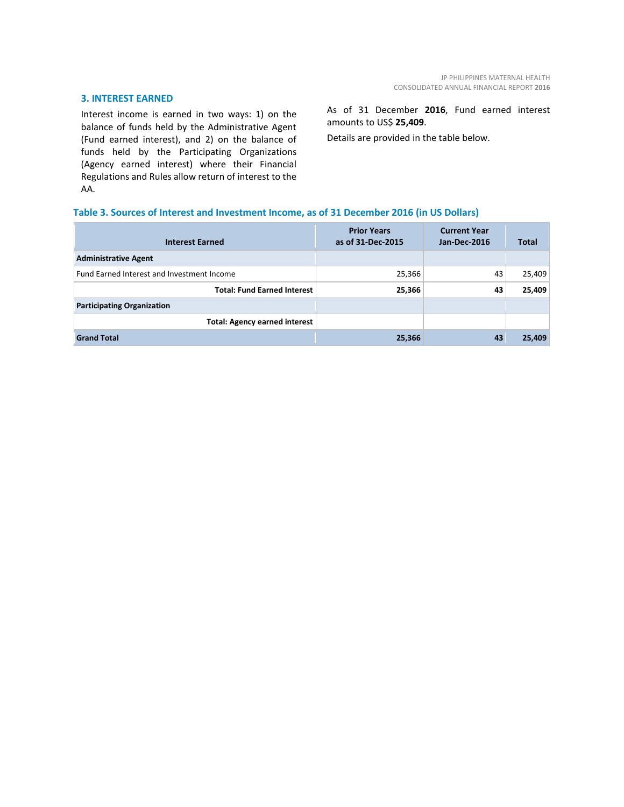#### **3. INTEREST EARNED**

Interest income is earned in two ways: 1) on the balance of funds held by the Administrative Agent (Fund earned interest), and 2) on the balance of funds held by the Participating Organizations (Agency earned interest) where their Financial Regulations and Rules allow return of interest to the AA.

As of 31 December **2016**, Fund earned interest amounts to US\$ **25,409**.

Details are provided in the table below.

#### **Table 3. Sources of Interest and Investment Income, as of 31 December 2016 (in US Dollars)**

| <b>Interest Earned</b>                     | <b>Prior Years</b><br>as of 31-Dec-2015 | <b>Current Year</b><br>Jan-Dec-2016 | <b>Total</b> |
|--------------------------------------------|-----------------------------------------|-------------------------------------|--------------|
| <b>Administrative Agent</b>                |                                         |                                     |              |
| Fund Earned Interest and Investment Income | 25,366                                  | 43                                  | 25,409       |
| <b>Total: Fund Earned Interest</b>         | 25,366                                  | 43                                  | 25,409       |
| <b>Participating Organization</b>          |                                         |                                     |              |
| <b>Total: Agency earned interest</b>       |                                         |                                     |              |
| <b>Grand Total</b>                         | 25,366                                  | 43                                  | 25,409       |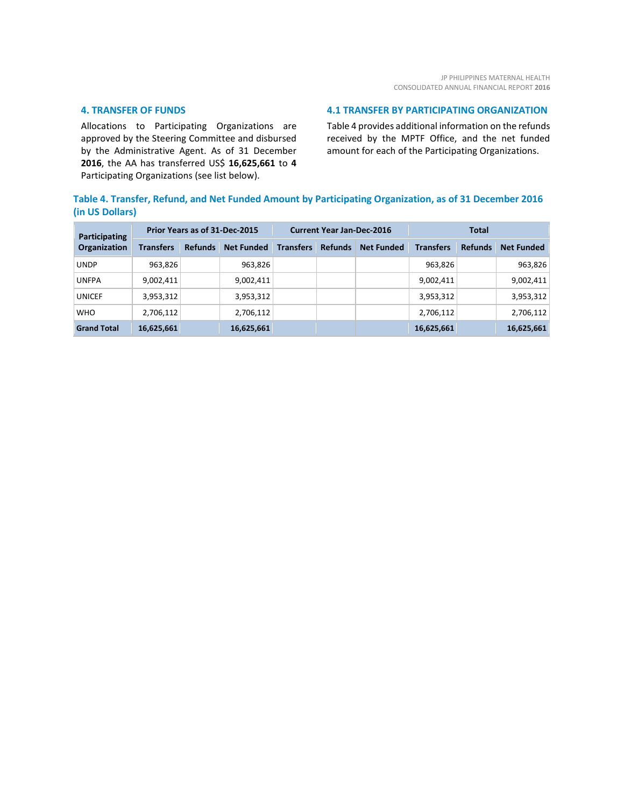#### **4. TRANSFER OF FUNDS**

Allocations to Participating Organizations are approved by the Steering Committee and disbursed by the Administrative Agent. As of 31 December **2016**, the AA has transferred US\$ **16,625,661** to **4** Participating Organizations (see list below).

#### **4.1 TRANSFER BY PARTICIPATING ORGANIZATION**

Table 4 provides additional information on the refunds received by the MPTF Office, and the net funded amount for each of the Participating Organizations.

### **Table 4. Transfer, Refund, and Net Funded Amount by Participating Organization, as of 31 December 2016 (in US Dollars)**

| Participating<br>Organization | Prior Years as of 31-Dec-2015 |                |                   | <b>Current Year Jan-Dec-2016</b> |                |                   | <b>Total</b>     |                |                   |
|-------------------------------|-------------------------------|----------------|-------------------|----------------------------------|----------------|-------------------|------------------|----------------|-------------------|
|                               | <b>Transfers</b>              | <b>Refunds</b> | <b>Net Funded</b> | <b>Transfers</b>                 | <b>Refunds</b> | <b>Net Funded</b> | <b>Transfers</b> | <b>Refunds</b> | <b>Net Funded</b> |
| <b>UNDP</b>                   | 963,826                       |                | 963,826           |                                  |                |                   | 963,826          |                | 963,826           |
| <b>UNFPA</b>                  | 9,002,411                     |                | 9,002,411         |                                  |                |                   | 9,002,411        |                | 9,002,411         |
| <b>UNICEF</b>                 | 3,953,312                     |                | 3,953,312         |                                  |                |                   | 3,953,312        |                | 3,953,312         |
| <b>WHO</b>                    | 2,706,112                     |                | 2,706,112         |                                  |                |                   | 2,706,112        |                | 2,706,112         |
| <b>Grand Total</b>            | 16,625,661                    |                | 16,625,661        |                                  |                |                   | 16,625,661       |                | 16,625,661        |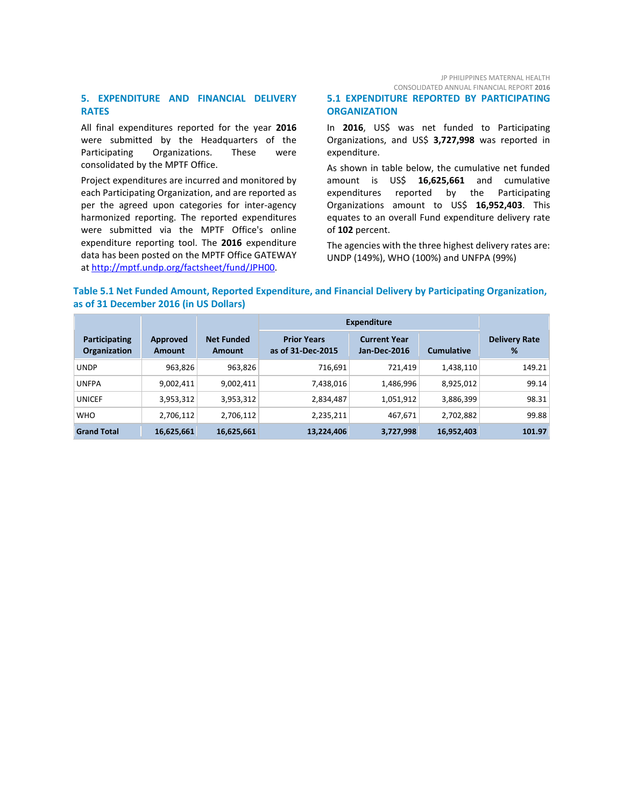JP PHILIPPINES MATERNAL HEALTH CONSOLIDATED ANNUAL FINANCIAL REPORT **2016**

#### **5. EXPENDITURE AND FINANCIAL DELIVERY RATES**

All final expenditures reported for the year **2016** were submitted by the Headquarters of the Participating Organizations. These were consolidated by the MPTF Office.

Project expenditures are incurred and monitored by each Participating Organization, and are reported as per the agreed upon categories for inter-agency harmonized reporting. The reported expenditures were submitted via the MPTF Office's online expenditure reporting tool. The **2016** expenditure data has been posted on the MPTF Office GATEWAY at [http://mptf.undp.org/factsheet/fund/JPH00.](http://mptf.undp.org/factsheet/fund/JPH00)

#### **5.1 EXPENDITURE REPORTED BY PARTICIPATING ORGANIZATION**

In **2016**, US\$ was net funded to Participating Organizations, and US\$ **3,727,998** was reported in expenditure.

As shown in table below, the cumulative net funded amount is US\$ **16,625,661** and cumulative expenditures reported by the Participating Organizations amount to US\$ **16,952,403**. This equates to an overall Fund expenditure delivery rate of **102** percent.

The agencies with the three highest delivery rates are: UNDP (149%), WHO (100%) and UNFPA (99%)

#### **Table 5.1 Net Funded Amount, Reported Expenditure, and Financial Delivery by Participating Organization, as of 31 December 2016 (in US Dollars)**

|                               |                           |                                    | Expenditure                             |                                     |                   |                           |
|-------------------------------|---------------------------|------------------------------------|-----------------------------------------|-------------------------------------|-------------------|---------------------------|
| Participating<br>Organization | Approved<br><b>Amount</b> | <b>Net Funded</b><br><b>Amount</b> | <b>Prior Years</b><br>as of 31-Dec-2015 | <b>Current Year</b><br>Jan-Dec-2016 | <b>Cumulative</b> | <b>Delivery Rate</b><br>% |
| <b>UNDP</b>                   | 963,826                   | 963,826                            | 716,691                                 | 721,419                             | 1,438,110         | 149.21                    |
| <b>UNFPA</b>                  | 9,002,411                 | 9,002,411                          | 7,438,016                               | 1,486,996                           | 8,925,012         | 99.14                     |
| <b>UNICEF</b>                 | 3,953,312                 | 3,953,312                          | 2,834,487                               | 1,051,912                           | 3,886,399         | 98.31                     |
| <b>WHO</b>                    | 2,706,112                 | 2,706,112                          | 2,235,211                               | 467,671                             | 2,702,882         | 99.88                     |
| <b>Grand Total</b>            | 16,625,661                | 16,625,661                         | 13,224,406                              | 3,727,998                           | 16,952,403        | 101.97                    |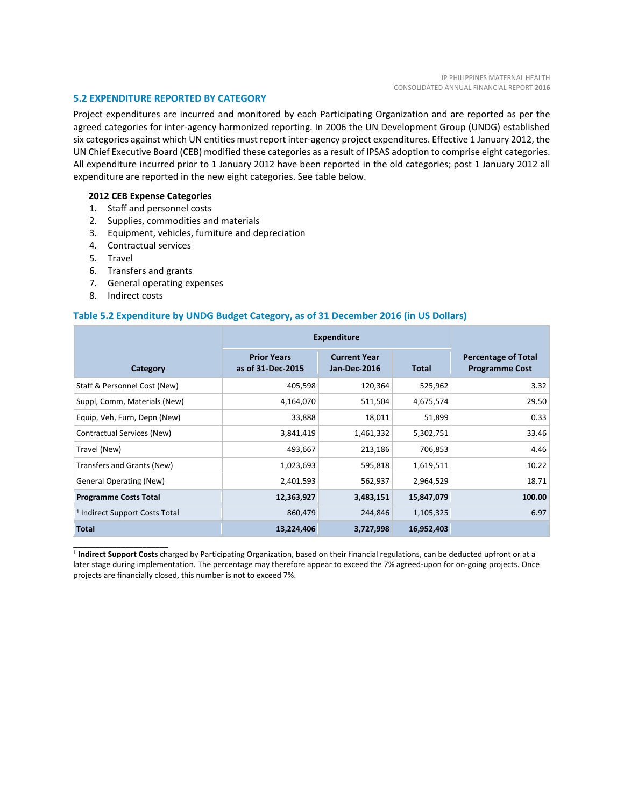#### **5.2 EXPENDITURE REPORTED BY CATEGORY**

Project expenditures are incurred and monitored by each Participating Organization and are reported as per the agreed categories for inter-agency harmonized reporting. In 2006 the UN Development Group (UNDG) established six categories against which UN entities must report inter-agency project expenditures. Effective 1 January 2012, the UN Chief Executive Board (CEB) modified these categories as a result of IPSAS adoption to comprise eight categories. All expenditure incurred prior to 1 January 2012 have been reported in the old categories; post 1 January 2012 all expenditure are reported in the new eight categories. See table below.

#### **2012 CEB Expense Categories**

- 1. Staff and personnel costs
- 2. Supplies, commodities and materials
- 3. Equipment, vehicles, furniture and depreciation
- 4. Contractual services
- 5. Travel
- 6. Transfers and grants
- 7. General operating expenses
- 8. Indirect costs

\_\_\_\_\_\_\_\_\_\_\_\_\_\_\_\_\_\_\_\_\_\_

#### **Table 5.2 Expenditure by UNDG Budget Category, as of 31 December 2016 (in US Dollars)**

|                                           | <b>Expenditure</b>                      |                                     |              |                                                     |
|-------------------------------------------|-----------------------------------------|-------------------------------------|--------------|-----------------------------------------------------|
| Category                                  | <b>Prior Years</b><br>as of 31-Dec-2015 | <b>Current Year</b><br>Jan-Dec-2016 | <b>Total</b> | <b>Percentage of Total</b><br><b>Programme Cost</b> |
| Staff & Personnel Cost (New)              | 405,598                                 | 120,364                             | 525,962      | 3.32                                                |
| Suppl, Comm, Materials (New)              | 4,164,070                               | 511,504                             | 4,675,574    | 29.50                                               |
| Equip, Veh, Furn, Depn (New)              | 33,888                                  | 18,011                              | 51,899       | 0.33                                                |
| Contractual Services (New)                | 3,841,419                               | 1,461,332                           | 5,302,751    | 33.46                                               |
| Travel (New)                              | 493,667                                 | 213,186                             | 706,853      | 4.46                                                |
| Transfers and Grants (New)                | 1,023,693                               | 595,818                             | 1,619,511    | 10.22                                               |
| <b>General Operating (New)</b>            | 2,401,593                               | 562,937                             | 2,964,529    | 18.71                                               |
| <b>Programme Costs Total</b>              | 12,363,927                              | 3,483,151                           | 15,847,079   | 100.00                                              |
| <sup>1</sup> Indirect Support Costs Total | 860,479                                 | 244,846                             | 1,105,325    | 6.97                                                |
| <b>Total</b>                              | 13,224,406                              | 3,727,998                           | 16,952,403   |                                                     |

**<sup>1</sup> Indirect Support Costs** charged by Participating Organization, based on their financial regulations, can be deducted upfront or at a later stage during implementation. The percentage may therefore appear to exceed the 7% agreed-upon for on-going projects. Once projects are financially closed, this number is not to exceed 7%.